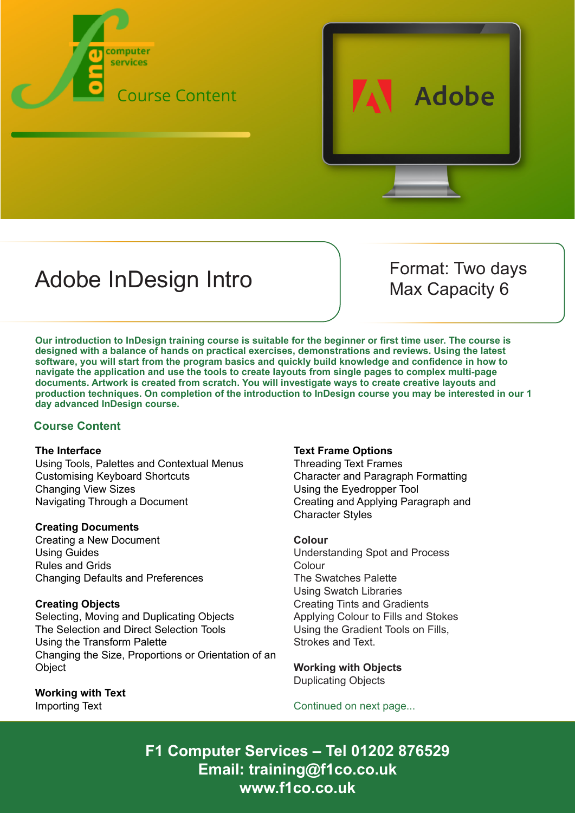



# Adobe InDesign Intro Format: Two days

Max Capacity 6

**Our introduction to InDesign training course is suitable for the beginner or first time user. The course is designed with a balance of hands on practical exercises, demonstrations and reviews. Using the latest software, you will start from the program basics and quickly build knowledge and confidence in how to navigate the application and use the tools to create layouts from single pages to complex multi-page documents. Artwork is created from scratch. You will investigate ways to create creative layouts and production techniques. On completion of the introduction to InDesign course you may be interested in our 1 day advanced InDesign course.**

# **Course Content**

## **The Interface**

Using Tools, Palettes and Contextual Menus Customising Keyboard Shortcuts Changing View Sizes Navigating Through a Document

## **Creating Documents**

Creating a New Document Using Guides Rules and Grids Changing Defaults and Preferences

# **Creating Objects**

Selecting, Moving and Duplicating Objects The Selection and Direct Selection Tools Using the Transform Palette Changing the Size, Proportions or Orientation of an **Object** 

**Working with Text** Importing Text

## **Text Frame Options**

Threading Text Frames Character and Paragraph Formatting Using the Eyedropper Tool Creating and Applying Paragraph and Character Styles

## **Colour**

Understanding Spot and Process Colour The Swatches Palette Using Swatch Libraries Creating Tints and Gradients Applying Colour to Fills and Stokes Using the Gradient Tools on Fills, Strokes and Text.

**Working with Objects** Duplicating Objects

Continued on next page...

**F1 Computer Services – Tel 01202 876529 Email: training@f1co.co.uk www.f1co.co.uk**